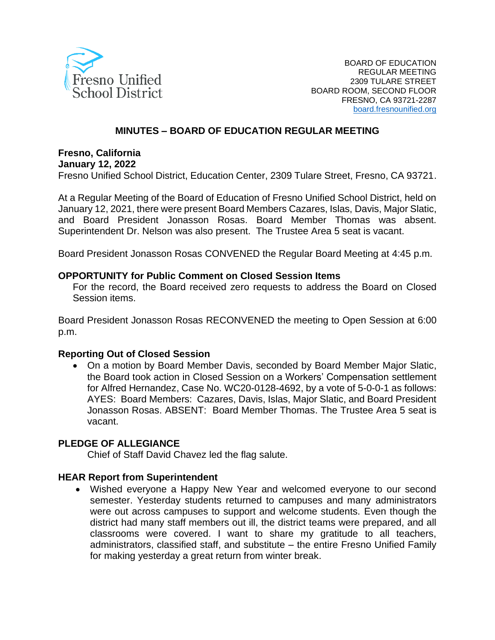

#### **MINUTES – BOARD OF EDUCATION REGULAR MEETING**

# **Fresno, California**

**January 12, 2022**

Fresno Unified School District, Education Center, 2309 Tulare Street, Fresno, CA 93721.

At a Regular Meeting of the Board of Education of Fresno Unified School District, held on January 12, 2021, there were present Board Members Cazares, Islas, Davis, Major Slatic, and Board President Jonasson Rosas. Board Member Thomas was absent. Superintendent Dr. Nelson was also present. The Trustee Area 5 seat is vacant.

Board President Jonasson Rosas CONVENED the Regular Board Meeting at 4:45 p.m.

#### **OPPORTUNITY for Public Comment on Closed Session Items**

For the record, the Board received zero requests to address the Board on Closed Session items.

Board President Jonasson Rosas RECONVENED the meeting to Open Session at 6:00 p.m.

#### **Reporting Out of Closed Session**

• On a motion by Board Member Davis, seconded by Board Member Major Slatic, the Board took action in Closed Session on a Workers' Compensation settlement for Alfred Hernandez, Case No. WC20-0128-4692, by a vote of 5-0-0-1 as follows: AYES: Board Members: Cazares, Davis, Islas, Major Slatic, and Board President Jonasson Rosas. ABSENT: Board Member Thomas. The Trustee Area 5 seat is vacant.

#### **PLEDGE OF ALLEGIANCE**

Chief of Staff David Chavez led the flag salute.

#### **HEAR Report from Superintendent**

• Wished everyone a Happy New Year and welcomed everyone to our second semester. Yesterday students returned to campuses and many administrators were out across campuses to support and welcome students. Even though the district had many staff members out ill, the district teams were prepared, and all classrooms were covered. I want to share my gratitude to all teachers, administrators, classified staff, and substitute – the entire Fresno Unified Family for making yesterday a great return from winter break.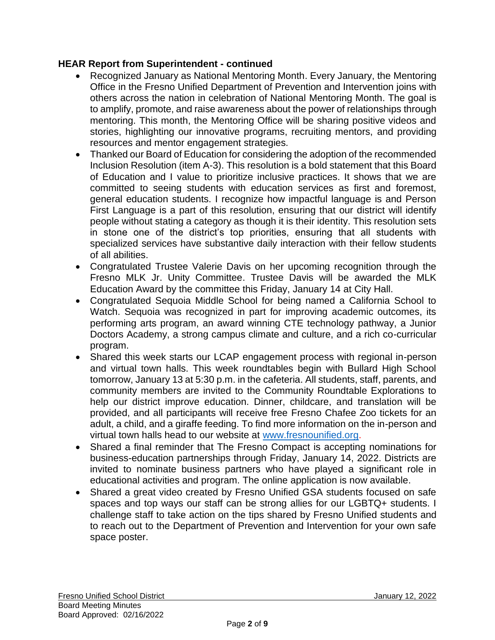### **HEAR Report from Superintendent - continued**

- Recognized January as National Mentoring Month. Every January, the Mentoring Office in the Fresno Unified Department of Prevention and Intervention joins with others across the nation in celebration of National Mentoring Month. The goal is to amplify, promote, and raise awareness about the power of relationships through mentoring. This month, the Mentoring Office will be sharing positive videos and stories, highlighting our innovative programs, recruiting mentors, and providing resources and mentor engagement strategies.
- Thanked our Board of Education for considering the adoption of the recommended Inclusion Resolution (item A-3). This resolution is a bold statement that this Board of Education and I value to prioritize inclusive practices. It shows that we are committed to seeing students with education services as first and foremost, general education students. I recognize how impactful language is and Person First Language is a part of this resolution, ensuring that our district will identify people without stating a category as though it is their identity. This resolution sets in stone one of the district's top priorities, ensuring that all students with specialized services have substantive daily interaction with their fellow students of all abilities.
- Congratulated Trustee Valerie Davis on her upcoming recognition through the Fresno MLK Jr. Unity Committee. Trustee Davis will be awarded the MLK Education Award by the committee this Friday, January 14 at City Hall.
- Congratulated Sequoia Middle School for being named a California School to Watch. Sequoia was recognized in part for improving academic outcomes, its performing arts program, an award winning CTE technology pathway, a Junior Doctors Academy, a strong campus climate and culture, and a rich co-curricular program.
- Shared this week starts our LCAP engagement process with regional in-person and virtual town halls. This week roundtables begin with Bullard High School tomorrow, January 13 at 5:30 p.m. in the cafeteria. All students, staff, parents, and community members are invited to the Community Roundtable Explorations to help our district improve education. Dinner, childcare, and translation will be provided, and all participants will receive free Fresno Chafee Zoo tickets for an adult, a child, and a giraffe feeding. To find more information on the in-person and virtual town halls head to our website at [www.fresnounified.org.](http://www.fresnounified.org/)
- Shared a final reminder that The Fresno Compact is accepting nominations for business-education partnerships through Friday, January 14, 2022. Districts are invited to nominate business partners who have played a significant role in educational activities and program. The online application is now available.
- Shared a great video created by Fresno Unified GSA students focused on safe spaces and top ways our staff can be strong allies for our LGBTQ+ students. I challenge staff to take action on the tips shared by Fresno Unified students and to reach out to the Department of Prevention and Intervention for your own safe space poster.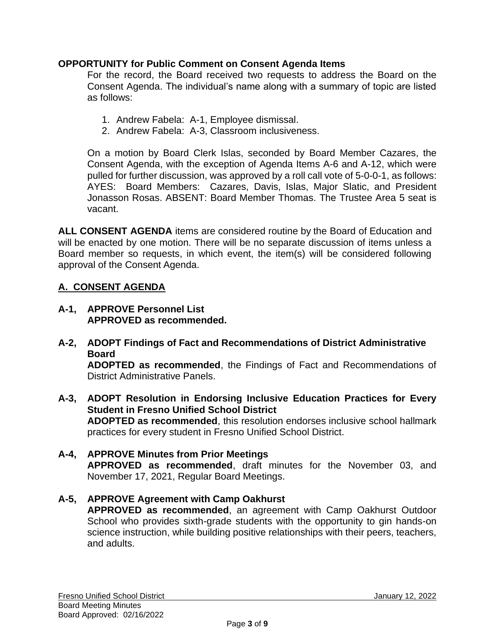### **OPPORTUNITY for Public Comment on Consent Agenda Items**

For the record, the Board received two requests to address the Board on the Consent Agenda. The individual's name along with a summary of topic are listed as follows:

- 1. Andrew Fabela: A-1, Employee dismissal.
- 2. Andrew Fabela: A-3, Classroom inclusiveness.

On a motion by Board Clerk Islas, seconded by Board Member Cazares, the Consent Agenda, with the exception of Agenda Items A-6 and A-12, which were pulled for further discussion, was approved by a roll call vote of 5-0-0-1, as follows: AYES: Board Members: Cazares, Davis, Islas, Major Slatic, and President Jonasson Rosas. ABSENT: Board Member Thomas. The Trustee Area 5 seat is vacant.

**ALL CONSENT AGENDA** items are considered routine by the Board of Education and will be enacted by one motion. There will be no separate discussion of items unless a Board member so requests, in which event, the item(s) will be considered following approval of the Consent Agenda.

# **A. CONSENT AGENDA**

- **A-1, APPROVE Personnel List APPROVED as recommended.**
- **A-2, ADOPT Findings of Fact and Recommendations of District Administrative Board ADOPTED as recommended**, the Findings of Fact and Recommendations of District Administrative Panels.
- **A-3, ADOPT Resolution in Endorsing Inclusive Education Practices for Every Student in Fresno Unified School District ADOPTED as recommended**, this resolution endorses inclusive school hallmark practices for every student in Fresno Unified School District.
- **A-4, APPROVE Minutes from Prior Meetings APPROVED as recommended**, draft minutes for the November 03, and November 17, 2021, Regular Board Meetings.

## **A-5, APPROVE Agreement with Camp Oakhurst**

**APPROVED as recommended**, an agreement with Camp Oakhurst Outdoor School who provides sixth-grade students with the opportunity to gin hands-on science instruction, while building positive relationships with their peers, teachers, and adults.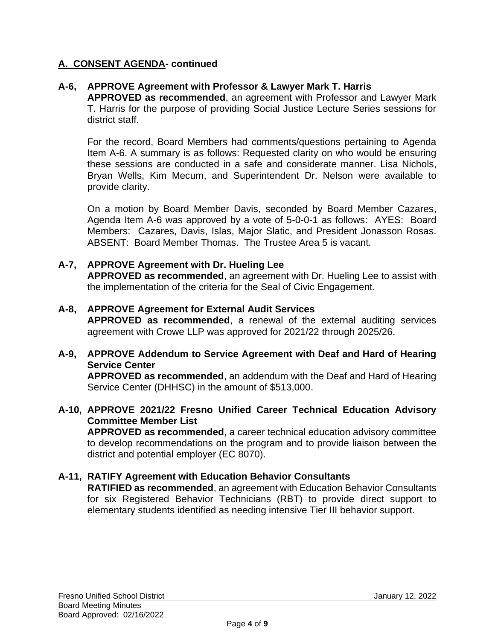## **A. CONSENT AGENDA- continued**

### **A-6, APPROVE Agreement with Professor & Lawyer Mark T. Harris**

**APPROVED as recommended**, an agreement with Professor and Lawyer Mark T. Harris for the purpose of providing Social Justice Lecture Series sessions for district staff.

For the record, Board Members had comments/questions pertaining to Agenda Item A-6. A summary is as follows: Requested clarity on who would be ensuring these sessions are conducted in a safe and considerate manner. Lisa Nichols, Bryan Wells, Kim Mecum, and Superintendent Dr. Nelson were available to provide clarity.

On a motion by Board Member Davis, seconded by Board Member Cazares, Agenda Item A-6 was approved by a vote of 5-0-0-1 as follows: AYES: Board Members: Cazares, Davis, Islas, Major Slatic, and President Jonasson Rosas. ABSENT: Board Member Thomas. The Trustee Area 5 is vacant.

#### **A-7, APPROVE Agreement with Dr. Hueling Lee**

**APPROVED as recommended**, an agreement with Dr. Hueling Lee to assist with the implementation of the criteria for the Seal of Civic Engagement.

#### **A-8, APPROVE Agreement for External Audit Services**

**APPROVED as recommended**, a renewal of the external auditing services agreement with Crowe LLP was approved for 2021/22 through 2025/26.

#### **A-9, APPROVE Addendum to Service Agreement with Deaf and Hard of Hearing Service Center**

**APPROVED as recommended**, an addendum with the Deaf and Hard of Hearing Service Center (DHHSC) in the amount of \$513,000.

#### **A-10, APPROVE 2021/22 Fresno Unified Career Technical Education Advisory Committee Member List**

**APPROVED as recommended**, a career technical education advisory committee to develop recommendations on the program and to provide liaison between the district and potential employer (EC 8070).

#### **A-11, RATIFY Agreement with Education Behavior Consultants**

**RATIFIED as recommended**, an agreement with Education Behavior Consultants for six Registered Behavior Technicians (RBT) to provide direct support to elementary students identified as needing intensive Tier III behavior support.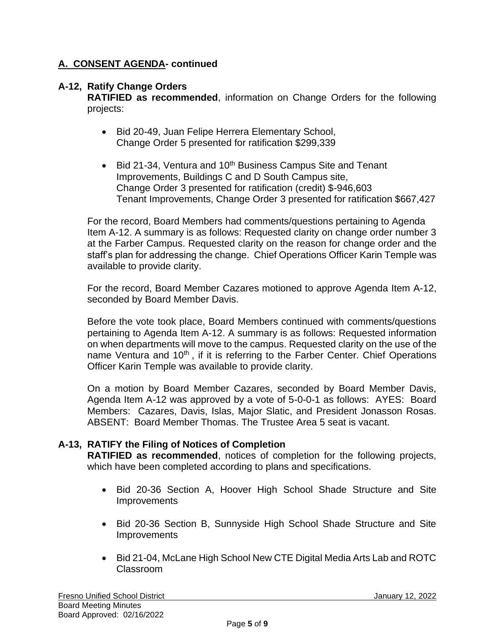# **A. CONSENT AGENDA- continued**

## **A-12, Ratify Change Orders**

**RATIFIED as recommended**, information on Change Orders for the following projects:

- Bid 20-49, Juan Felipe Herrera Elementary School, Change Order 5 presented for ratification \$299,339
- Bid 21-34, Ventura and 10<sup>th</sup> Business Campus Site and Tenant Improvements, Buildings C and D South Campus site, Change Order 3 presented for ratification (credit) \$-946,603 Tenant Improvements, Change Order 3 presented for ratification \$667,427

For the record, Board Members had comments/questions pertaining to Agenda Item A-12. A summary is as follows: Requested clarity on change order number 3 at the Farber Campus. Requested clarity on the reason for change order and the staff's plan for addressing the change. Chief Operations Officer Karin Temple was available to provide clarity.

For the record, Board Member Cazares motioned to approve Agenda Item A-12, seconded by Board Member Davis.

Before the vote took place, Board Members continued with comments/questions pertaining to Agenda Item A-12. A summary is as follows: Requested information on when departments will move to the campus. Requested clarity on the use of the name Ventura and 10<sup>th</sup>, if it is referring to the Farber Center. Chief Operations Officer Karin Temple was available to provide clarity.

On a motion by Board Member Cazares, seconded by Board Member Davis, Agenda Item A-12 was approved by a vote of 5-0-0-1 as follows: AYES: Board Members: Cazares, Davis, Islas, Major Slatic, and President Jonasson Rosas. ABSENT: Board Member Thomas. The Trustee Area 5 seat is vacant.

## **A-13, RATIFY the Filing of Notices of Completion**

**RATIFIED as recommended**, notices of completion for the following projects, which have been completed according to plans and specifications.

- Bid 20-36 Section A, Hoover High School Shade Structure and Site Improvements
- Bid 20-36 Section B, Sunnyside High School Shade Structure and Site **Improvements**
- Bid 21-04, McLane High School New CTE Digital Media Arts Lab and ROTC Classroom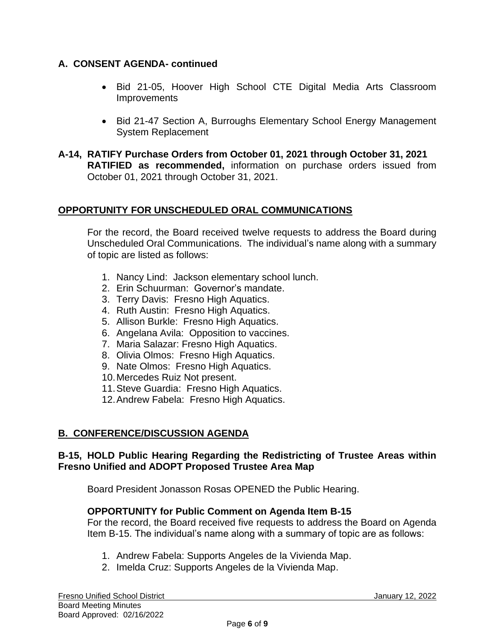# **A. CONSENT AGENDA- continued**

- Bid 21-05, Hoover High School CTE Digital Media Arts Classroom **Improvements**
- Bid 21-47 Section A, Burroughs Elementary School Energy Management System Replacement
- **A-14, RATIFY Purchase Orders from October 01, 2021 through October 31, 2021 RATIFIED as recommended,** information on purchase orders issued from October 01, 2021 through October 31, 2021.

# **OPPORTUNITY FOR UNSCHEDULED ORAL COMMUNICATIONS**

For the record, the Board received twelve requests to address the Board during Unscheduled Oral Communications. The individual's name along with a summary of topic are listed as follows:

- 1. Nancy Lind: Jackson elementary school lunch.
- 2. Erin Schuurman: Governor's mandate.
- 3. Terry Davis: Fresno High Aquatics.
- 4. Ruth Austin: Fresno High Aquatics.
- 5. Allison Burkle: Fresno High Aquatics.
- 6. Angelana Avila: Opposition to vaccines.
- 7. Maria Salazar: Fresno High Aquatics.
- 8. Olivia Olmos: Fresno High Aquatics.
- 9. Nate Olmos: Fresno High Aquatics.
- 10.Mercedes Ruiz Not present.
- 11.Steve Guardia: Fresno High Aquatics.
- 12.Andrew Fabela: Fresno High Aquatics.

# **B. CONFERENCE/DISCUSSION AGENDA**

### **B-15, HOLD Public Hearing Regarding the Redistricting of Trustee Areas within Fresno Unified and ADOPT Proposed Trustee Area Map**

Board President Jonasson Rosas OPENED the Public Hearing.

## **OPPORTUNITY for Public Comment on Agenda Item B-15**

For the record, the Board received five requests to address the Board on Agenda Item B-15. The individual's name along with a summary of topic are as follows:

- 1. Andrew Fabela: Supports Angeles de la Vivienda Map.
- 2. Imelda Cruz: Supports Angeles de la Vivienda Map.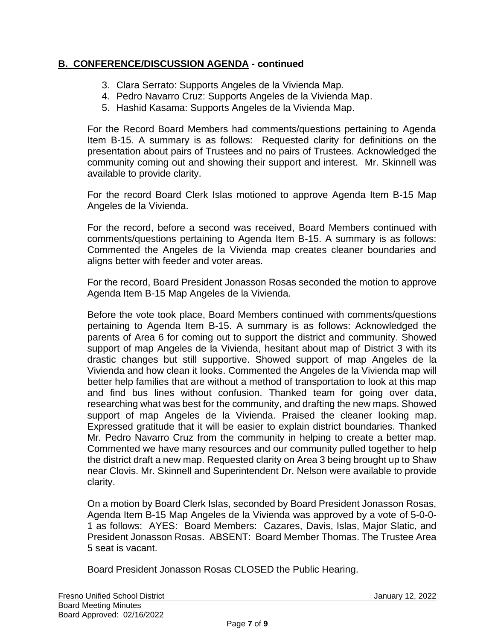# **B. CONFERENCE/DISCUSSION AGENDA - continued**

- 3. Clara Serrato: Supports Angeles de la Vivienda Map.
- 4. Pedro Navarro Cruz: Supports Angeles de la Vivienda Map.
- 5. Hashid Kasama: Supports Angeles de la Vivienda Map.

For the Record Board Members had comments/questions pertaining to Agenda Item B-15. A summary is as follows: Requested clarity for definitions on the presentation about pairs of Trustees and no pairs of Trustees. Acknowledged the community coming out and showing their support and interest. Mr. Skinnell was available to provide clarity.

For the record Board Clerk Islas motioned to approve Agenda Item B-15 Map Angeles de la Vivienda.

For the record, before a second was received, Board Members continued with comments/questions pertaining to Agenda Item B-15. A summary is as follows: Commented the Angeles de la Vivienda map creates cleaner boundaries and aligns better with feeder and voter areas.

For the record, Board President Jonasson Rosas seconded the motion to approve Agenda Item B-15 Map Angeles de la Vivienda.

Before the vote took place, Board Members continued with comments/questions pertaining to Agenda Item B-15. A summary is as follows: Acknowledged the parents of Area 6 for coming out to support the district and community. Showed support of map Angeles de la Vivienda, hesitant about map of District 3 with its drastic changes but still supportive. Showed support of map Angeles de la Vivienda and how clean it looks. Commented the Angeles de la Vivienda map will better help families that are without a method of transportation to look at this map and find bus lines without confusion. Thanked team for going over data, researching what was best for the community, and drafting the new maps. Showed support of map Angeles de la Vivienda. Praised the cleaner looking map. Expressed gratitude that it will be easier to explain district boundaries. Thanked Mr. Pedro Navarro Cruz from the community in helping to create a better map. Commented we have many resources and our community pulled together to help the district draft a new map. Requested clarity on Area 3 being brought up to Shaw near Clovis. Mr. Skinnell and Superintendent Dr. Nelson were available to provide clarity.

On a motion by Board Clerk Islas, seconded by Board President Jonasson Rosas, Agenda Item B-15 Map Angeles de la Vivienda was approved by a vote of 5-0-0- 1 as follows: AYES: Board Members: Cazares, Davis, Islas, Major Slatic, and President Jonasson Rosas. ABSENT: Board Member Thomas. The Trustee Area 5 seat is vacant.

Board President Jonasson Rosas CLOSED the Public Hearing.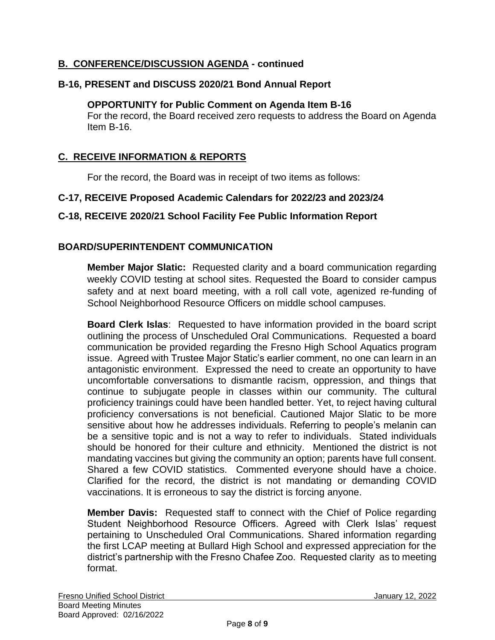# **B. CONFERENCE/DISCUSSION AGENDA - continued**

# **B-16, PRESENT and DISCUSS 2020/21 Bond Annual Report**

#### **OPPORTUNITY for Public Comment on Agenda Item B-16**

For the record, the Board received zero requests to address the Board on Agenda Item B-16.

## **C. RECEIVE INFORMATION & REPORTS**

For the record, the Board was in receipt of two items as follows:

### **C-17, RECEIVE Proposed Academic Calendars for 2022/23 and 2023/24**

### **C-18, RECEIVE 2020/21 School Facility Fee Public Information Report**

### **BOARD/SUPERINTENDENT COMMUNICATION**

**Member Major Slatic:** Requested clarity and a board communication regarding weekly COVID testing at school sites. Requested the Board to consider campus safety and at next board meeting, with a roll call vote, agenized re-funding of School Neighborhood Resource Officers on middle school campuses.

**Board Clerk Islas**: Requested to have information provided in the board script outlining the process of Unscheduled Oral Communications. Requested a board communication be provided regarding the Fresno High School Aquatics program issue. Agreed with Trustee Major Static's earlier comment, no one can learn in an antagonistic environment. Expressed the need to create an opportunity to have uncomfortable conversations to dismantle racism, oppression, and things that continue to subjugate people in classes within our community. The cultural proficiency trainings could have been handled better. Yet, to reject having cultural proficiency conversations is not beneficial. Cautioned Major Slatic to be more sensitive about how he addresses individuals. Referring to people's melanin can be a sensitive topic and is not a way to refer to individuals. Stated individuals should be honored for their culture and ethnicity. Mentioned the district is not mandating vaccines but giving the community an option; parents have full consent. Shared a few COVID statistics. Commented everyone should have a choice. Clarified for the record, the district is not mandating or demanding COVID vaccinations. It is erroneous to say the district is forcing anyone.

**Member Davis:** Requested staff to connect with the Chief of Police regarding Student Neighborhood Resource Officers. Agreed with Clerk Islas' request pertaining to Unscheduled Oral Communications. Shared information regarding the first LCAP meeting at Bullard High School and expressed appreciation for the district's partnership with the Fresno Chafee Zoo. Requested clarity as to meeting format.